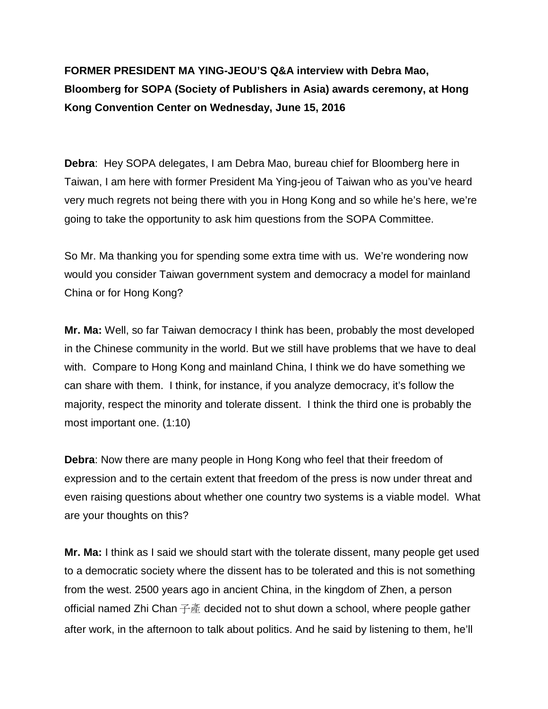**FORMER PRESIDENT MA YING-JEOU'S Q&A interview with Debra Mao, Bloomberg for SOPA (Society of Publishers in Asia) awards ceremony, at Hong Kong Convention Center on Wednesday, June 15, 2016**

**Debra**: Hey SOPA delegates, I am Debra Mao, bureau chief for Bloomberg here in Taiwan, I am here with former President Ma Ying-jeou of Taiwan who as you've heard very much regrets not being there with you in Hong Kong and so while he's here, we're going to take the opportunity to ask him questions from the SOPA Committee.

So Mr. Ma thanking you for spending some extra time with us. We're wondering now would you consider Taiwan government system and democracy a model for mainland China or for Hong Kong?

**Mr. Ma:** Well, so far Taiwan democracy I think has been, probably the most developed in the Chinese community in the world. But we still have problems that we have to deal with. Compare to Hong Kong and mainland China, I think we do have something we can share with them. I think, for instance, if you analyze democracy, it's follow the majority, respect the minority and tolerate dissent. I think the third one is probably the most important one. (1:10)

**Debra**: Now there are many people in Hong Kong who feel that their freedom of expression and to the certain extent that freedom of the press is now under threat and even raising questions about whether one country two systems is a viable model. What are your thoughts on this?

**Mr. Ma:** I think as I said we should start with the tolerate dissent, many people get used to a democratic society where the dissent has to be tolerated and this is not something from the west. 2500 years ago in ancient China, in the kingdom of Zhen, a person official named Zhi Chan  $\oplus$   $\tilde{E}$  decided not to shut down a school, where people gather after work, in the afternoon to talk about politics. And he said by listening to them, he'll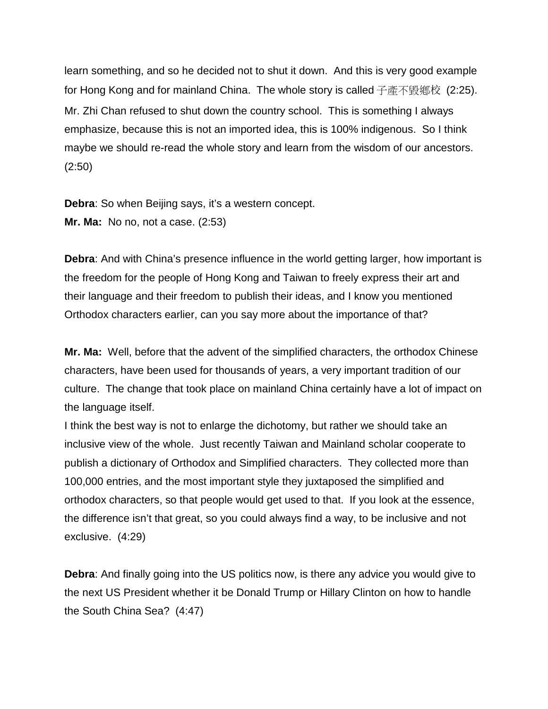learn something, and so he decided not to shut it down. And this is very good example for Hong Kong and for mainland China. The whole story is called 子產不毀鄕校 (2:25). Mr. Zhi Chan refused to shut down the country school. This is something I always emphasize, because this is not an imported idea, this is 100% indigenous. So I think maybe we should re-read the whole story and learn from the wisdom of our ancestors. (2:50)

**Debra**: So when Beijing says, it's a western concept. **Mr. Ma:** No no, not a case. (2:53)

**Debra**: And with China's presence influence in the world getting larger, how important is the freedom for the people of Hong Kong and Taiwan to freely express their art and their language and their freedom to publish their ideas, and I know you mentioned Orthodox characters earlier, can you say more about the importance of that?

**Mr. Ma:** Well, before that the advent of the simplified characters, the orthodox Chinese characters, have been used for thousands of years, a very important tradition of our culture. The change that took place on mainland China certainly have a lot of impact on the language itself.

I think the best way is not to enlarge the dichotomy, but rather we should take an inclusive view of the whole. Just recently Taiwan and Mainland scholar cooperate to publish a dictionary of Orthodox and Simplified characters. They collected more than 100,000 entries, and the most important style they juxtaposed the simplified and orthodox characters, so that people would get used to that. If you look at the essence, the difference isn't that great, so you could always find a way, to be inclusive and not exclusive. (4:29)

**Debra**: And finally going into the US politics now, is there any advice you would give to the next US President whether it be Donald Trump or Hillary Clinton on how to handle the South China Sea? (4:47)